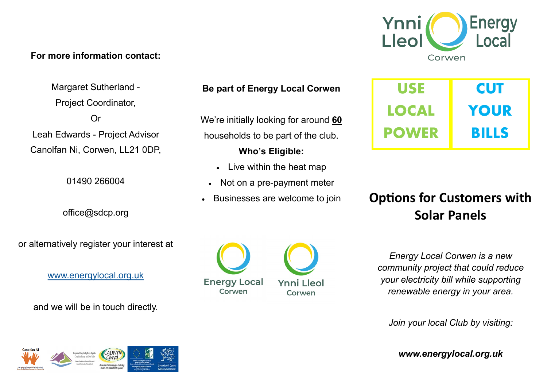## **For more information contact:**

Margaret Sutherland - Project Coordinator, Or Leah Edwards - Project Advisor Canolfan Ni, Corwen, LL21 0DP,

01490 266004

office@sdcp.org

or alternatively register your interest at

[www.energylocal.org.uk](http://www.energylocal.org.uk)

and we will be in touch directly.



We're initially looking for around **60** households to be part of the club.

**Who's Eligible:** 

- Live within the heat map
- Not on a pre-payment meter
- Businesses are welcome to join





**USE LOCAL POWER CUT YOUR BILLS**

# **Options for Customers with Solar Panels**

*Energy Local Corwen is a new community project that could reduce your electricity bill while supporting renewable energy in your area.*

*Join your local Club by visiting:*

*www.energylocal.org.uk*